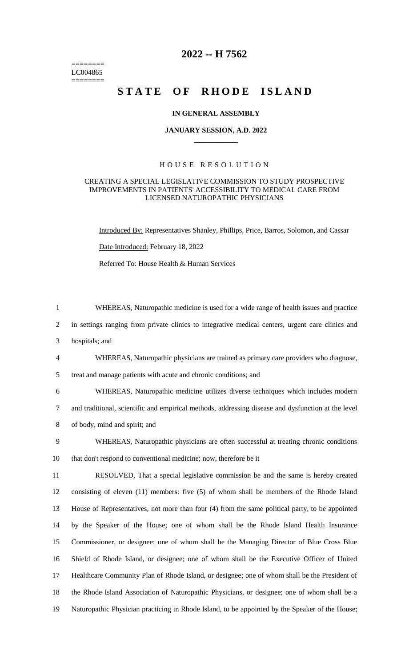======== LC004865  $=$ 

## **2022 -- H 7562**

# STATE OF RHODE ISLAND

#### **IN GENERAL ASSEMBLY**

#### **JANUARY SESSION, A.D. 2022 \_\_\_\_\_\_\_\_\_\_\_\_**

## H O U S E R E S O L U T I O N

## CREATING A SPECIAL LEGISLATIVE COMMISSION TO STUDY PROSPECTIVE IMPROVEMENTS IN PATIENTS' ACCESSIBILITY TO MEDICAL CARE FROM LICENSED NATUROPATHIC PHYSICIANS

Introduced By: Representatives Shanley, Phillips, Price, Barros, Solomon, and Cassar Date Introduced: February 18, 2022

Referred To: House Health & Human Services

| $\mathbf{1}$   | WHEREAS, Naturopathic medicine is used for a wide range of health issues and practice              |
|----------------|----------------------------------------------------------------------------------------------------|
| $\overline{2}$ | in settings ranging from private clinics to integrative medical centers, urgent care clinics and   |
| 3              | hospitals; and                                                                                     |
| $\overline{4}$ | WHEREAS, Naturopathic physicians are trained as primary care providers who diagnose,               |
| 5              | treat and manage patients with acute and chronic conditions; and                                   |
| 6              | WHEREAS, Naturopathic medicine utilizes diverse techniques which includes modern                   |
| $\tau$         | and traditional, scientific and empirical methods, addressing disease and dysfunction at the level |
| 8              | of body, mind and spirit; and                                                                      |
| 9              | WHEREAS, Naturopathic physicians are often successful at treating chronic conditions               |
| 10             | that don't respond to conventional medicine; now, therefore be it                                  |
| 11             | RESOLVED, That a special legislative commission be and the same is hereby created                  |
| 12             | consisting of eleven (11) members: five (5) of whom shall be members of the Rhode Island           |
| 13             | House of Representatives, not more than four (4) from the same political party, to be appointed    |
| 14             | by the Speaker of the House; one of whom shall be the Rhode Island Health Insurance                |
| 15             | Commissioner, or designee; one of whom shall be the Managing Director of Blue Cross Blue           |
| 16             | Shield of Rhode Island, or designee; one of whom shall be the Executive Officer of United          |
| 17             | Healthcare Community Plan of Rhode Island, or designee; one of whom shall be the President of      |
| 18             | the Rhode Island Association of Naturopathic Physicians, or designee; one of whom shall be a       |
| 19             | Naturopathic Physician practicing in Rhode Island, to be appointed by the Speaker of the House;    |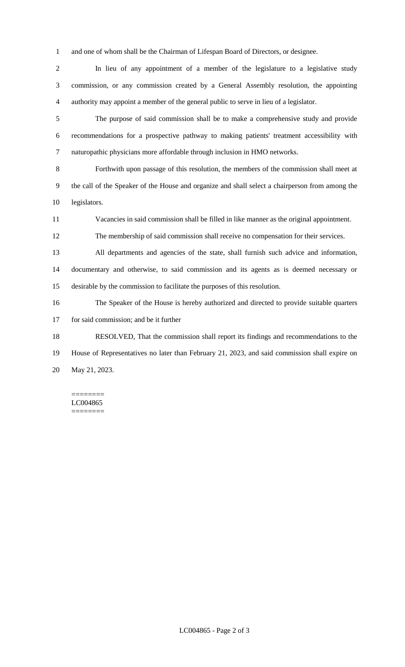and one of whom shall be the Chairman of Lifespan Board of Directors, or designee.

 In lieu of any appointment of a member of the legislature to a legislative study commission, or any commission created by a General Assembly resolution, the appointing authority may appoint a member of the general public to serve in lieu of a legislator.

 The purpose of said commission shall be to make a comprehensive study and provide recommendations for a prospective pathway to making patients' treatment accessibility with naturopathic physicians more affordable through inclusion in HMO networks.

 Forthwith upon passage of this resolution, the members of the commission shall meet at the call of the Speaker of the House and organize and shall select a chairperson from among the legislators.

Vacancies in said commission shall be filled in like manner as the original appointment.

The membership of said commission shall receive no compensation for their services.

 All departments and agencies of the state, shall furnish such advice and information, documentary and otherwise, to said commission and its agents as is deemed necessary or desirable by the commission to facilitate the purposes of this resolution.

 The Speaker of the House is hereby authorized and directed to provide suitable quarters for said commission; and be it further

 RESOLVED, That the commission shall report its findings and recommendations to the House of Representatives no later than February 21, 2023, and said commission shall expire on May 21, 2023.

======== LC004865 ========